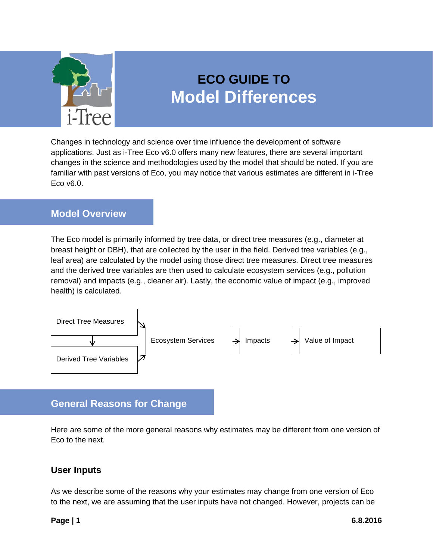

# **ECO GUIDE TO Model Differences**

Changes in technology and science over time influence the development of software applications. Just as i-Tree Eco v6.0 offers many new features, there are several important changes in the science and methodologies used by the model that should be noted. If you are familiar with past versions of Eco, you may notice that various estimates are different in i-Tree Eco v6.0.

#### <span id="page-0-0"></span>**Model Overview**

The Eco model is primarily informed by tree data, or direct tree measures (e.g., diameter at breast height or DBH), that are collected by the user in the field. Derived tree variables (e.g., leaf area) are calculated by the model using those direct tree measures. Direct tree measures and the derived tree variables are then used to calculate ecosystem services (e.g., pollution removal) and impacts (e.g., cleaner air). Lastly, the economic value of impact (e.g., improved health) is calculated.



# **General Reasons for Change**

Here are some of the more general reasons why estimates may be different from one version of Eco to the next.

### **User Inputs**

As we describe some of the reasons why your estimates may change from one version of Eco to the next, we are assuming that the user inputs have not changed. However, projects can be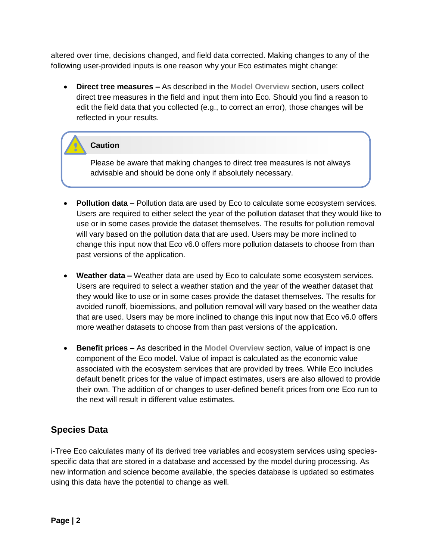altered over time, decisions changed, and field data corrected. Making changes to any of the following user-provided inputs is one reason why your Eco estimates might change:

 **Direct tree measures –** As described in the **[Model Overview](#page-0-0)** section, users collect direct tree measures in the field and input them into Eco. Should you find a reason to edit the field data that you collected (e.g., to correct an error), those changes will be reflected in your results.

#### **Caution**

Please be aware that making changes to direct tree measures is not always advisable and should be done only if absolutely necessary.

- **Pollution data –** Pollution data are used by Eco to calculate some ecosystem services. Users are required to either select the year of the pollution dataset that they would like to use or in some cases provide the dataset themselves. The results for pollution removal will vary based on the pollution data that are used. Users may be more inclined to change this input now that Eco v6.0 offers more pollution datasets to choose from than past versions of the application.
- **Weather data –** Weather data are used by Eco to calculate some ecosystem services. Users are required to select a weather station and the year of the weather dataset that they would like to use or in some cases provide the dataset themselves. The results for avoided runoff, bioemissions, and pollution removal will vary based on the weather data that are used. Users may be more inclined to change this input now that Eco v6.0 offers more weather datasets to choose from than past versions of the application.
- **Benefit prices –** As described in the **[Model Overview](#page-0-0)** section, value of impact is one component of the Eco model. Value of impact is calculated as the economic value associated with the ecosystem services that are provided by trees. While Eco includes default benefit prices for the value of impact estimates, users are also allowed to provide their own. The addition of or changes to user-defined benefit prices from one Eco run to the next will result in different value estimates.

#### **Species Data**

i-Tree Eco calculates many of its derived tree variables and ecosystem services using speciesspecific data that are stored in a database and accessed by the model during processing. As new information and science become available, the species database is updated so estimates using this data have the potential to change as well.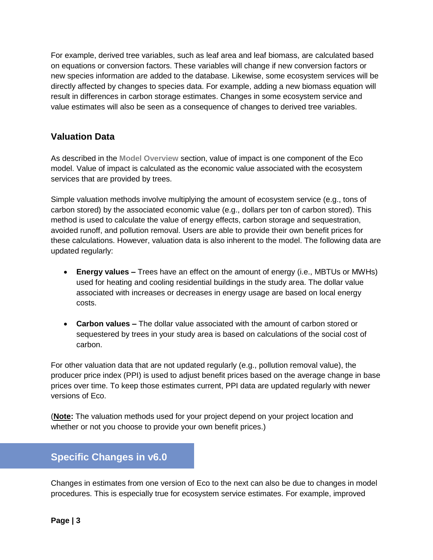For example, derived tree variables, such as leaf area and leaf biomass, are calculated based on equations or conversion factors. These variables will change if new conversion factors or new species information are added to the database. Likewise, some ecosystem services will be directly affected by changes to species data. For example, adding a new biomass equation will result in differences in carbon storage estimates. Changes in some ecosystem service and value estimates will also be seen as a consequence of changes to derived tree variables.

#### **Valuation Data**

As described in the **[Model Overview](#page-0-0)** section, value of impact is one component of the Eco model. Value of impact is calculated as the economic value associated with the ecosystem services that are provided by trees.

Simple valuation methods involve multiplying the amount of ecosystem service (e.g., tons of carbon stored) by the associated economic value (e.g., dollars per ton of carbon stored). This method is used to calculate the value of energy effects, carbon storage and sequestration, avoided runoff, and pollution removal. Users are able to provide their own benefit prices for these calculations. However, valuation data is also inherent to the model. The following data are updated regularly:

- **Energy values –** Trees have an effect on the amount of energy (i.e., MBTUs or MWHs) used for heating and cooling residential buildings in the study area. The dollar value associated with increases or decreases in energy usage are based on local energy costs.
- **Carbon values –** The dollar value associated with the amount of carbon stored or sequestered by trees in your study area is based on calculations of the social cost of carbon.

For other valuation data that are not updated regularly (e.g., pollution removal value), the producer price index (PPI) is used to adjust benefit prices based on the average change in base prices over time. To keep those estimates current, PPI data are updated regularly with newer versions of Eco.

(**Note:** The valuation methods used for your project depend on your project location and whether or not you choose to provide your own benefit prices.)

# **Specific Changes in v6.0**

Changes in estimates from one version of Eco to the next can also be due to changes in model procedures. This is especially true for ecosystem service estimates. For example, improved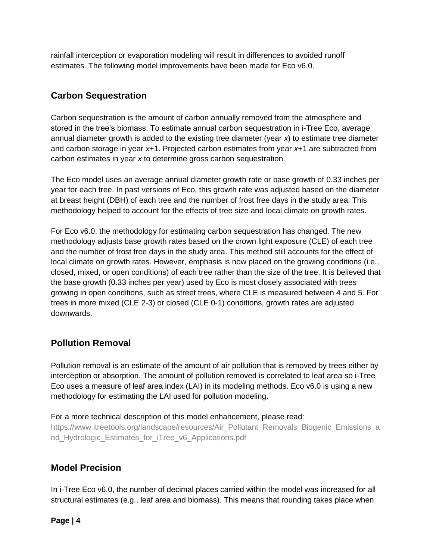rainfall interception or evaporation modeling will result in differences to avoided runoff estimates. The following model improvements have been made for Eco v6.0.

#### **Carbon Sequestration**

Carbon sequestration is the amount of carbon annually removed from the atmosphere and stored in the tree's biomass. To estimate annual carbon sequestration in i-Tree Eco, average annual diameter growth is added to the existing tree diameter (year *x*) to estimate tree diameter and carbon storage in year *x*+1. Projected carbon estimates from year *x*+1 are subtracted from carbon estimates in year *x* to determine gross carbon sequestration.

The Eco model uses an average annual diameter growth rate or base growth of 0.33 inches per year for each tree. In past versions of Eco, this growth rate was adjusted based on the diameter at breast height (DBH) of each tree and the number of frost free days in the study area. This methodology helped to account for the effects of tree size and local climate on growth rates.

For Eco v6.0, the methodology for estimating carbon sequestration has changed. The new methodology adjusts base growth rates based on the crown light exposure (CLE) of each tree and the number of frost free days in the study area. This method still accounts for the effect of local climate on growth rates. However, emphasis is now placed on the growing conditions (i.e., closed, mixed, or open conditions) of each tree rather than the size of the tree. It is believed that the base growth (0.33 inches per year) used by Eco is most closely associated with trees growing in open conditions, such as street trees, where CLE is measured between 4 and 5. For trees in more mixed (CLE 2-3) or closed (CLE 0-1) conditions, growth rates are adjusted downwards.

#### **Pollution Removal**

Pollution removal is an estimate of the amount of air pollution that is removed by trees either by interception or absorption. The amount of pollution removed is correlated to leaf area so i-Tree Eco uses a measure of leaf area index (LAI) in its modeling methods. Eco v6.0 is using a new methodology for estimating the LAI used for pollution modeling.

For a more technical description of this model enhancement, please read:

[https://www.itreetools.org/landscape/resources/Air\\_Pollutant\\_Removals\\_Biogenic\\_Emissions\\_a](https://www.itreetools.org/landscape/resources/Air_Pollutant_Removals_Biogenic_Emissions_and_Hydrologic_Estimates_for_iTree_v6_Applications.pdf) nd Hydrologic Estimates for iTree v6 Applications.pdf

#### **Model Precision**

In i-Tree Eco v6.0, the number of decimal places carried within the model was increased for all structural estimates (e.g., leaf area and biomass). This means that rounding takes place when